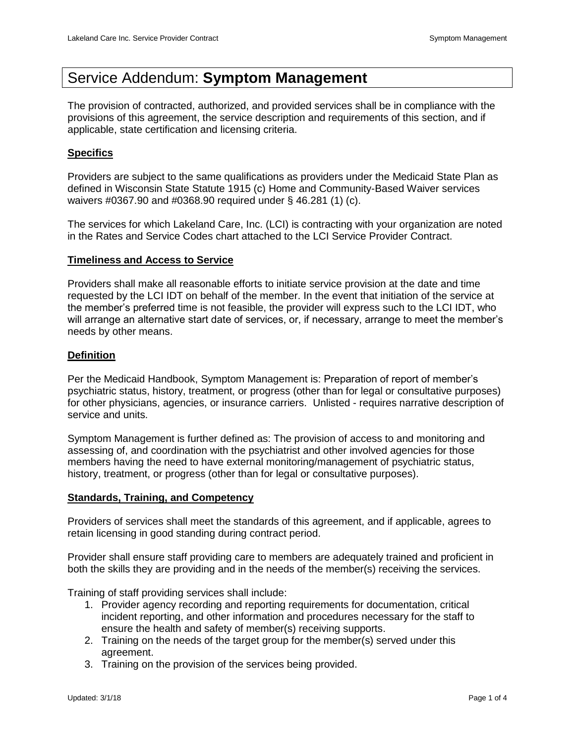# Service Addendum: **Symptom Management**

The provision of contracted, authorized, and provided services shall be in compliance with the provisions of this agreement, the service description and requirements of this section, and if applicable, state certification and licensing criteria.

## **Specifics**

Providers are subject to the same qualifications as providers under the Medicaid State Plan as defined in Wisconsin State Statute 1915 (c) Home and Community-Based Waiver services waivers #0367.90 and #0368.90 required under § 46.281 (1) (c).

The services for which Lakeland Care, Inc. (LCI) is contracting with your organization are noted in the Rates and Service Codes chart attached to the LCI Service Provider Contract.

## **Timeliness and Access to Service**

Providers shall make all reasonable efforts to initiate service provision at the date and time requested by the LCI IDT on behalf of the member. In the event that initiation of the service at the member's preferred time is not feasible, the provider will express such to the LCI IDT, who will arrange an alternative start date of services, or, if necessary, arrange to meet the member's needs by other means.

## **Definition**

Per the Medicaid Handbook, Symptom Management is: Preparation of report of member's psychiatric status, history, treatment, or progress (other than for legal or consultative purposes) for other physicians, agencies, or insurance carriers. Unlisted - requires narrative description of service and units.

Symptom Management is further defined as: The provision of access to and monitoring and assessing of, and coordination with the psychiatrist and other involved agencies for those members having the need to have external monitoring/management of psychiatric status, history, treatment, or progress (other than for legal or consultative purposes).

#### **Standards, Training, and Competency**

Providers of services shall meet the standards of this agreement, and if applicable, agrees to retain licensing in good standing during contract period.

Provider shall ensure staff providing care to members are adequately trained and proficient in both the skills they are providing and in the needs of the member(s) receiving the services.

Training of staff providing services shall include:

- 1. Provider agency recording and reporting requirements for documentation, critical incident reporting, and other information and procedures necessary for the staff to ensure the health and safety of member(s) receiving supports.
- 2. Training on the needs of the target group for the member(s) served under this agreement.
- 3. Training on the provision of the services being provided.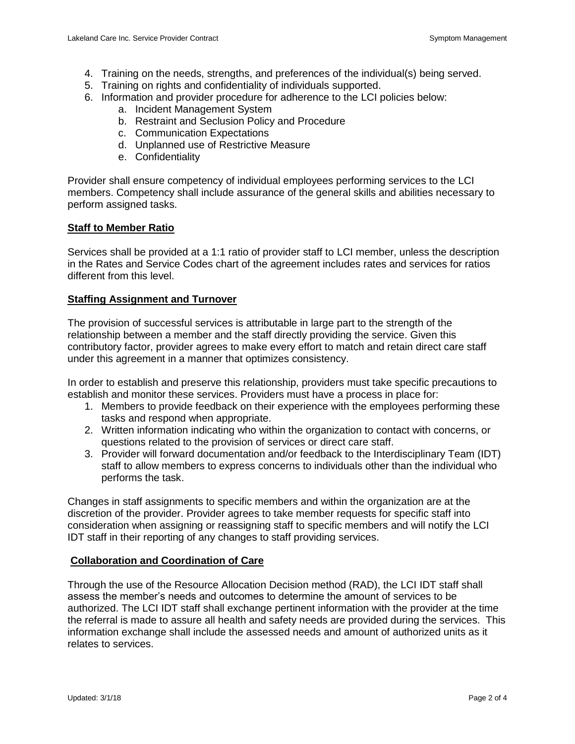- 4. Training on the needs, strengths, and preferences of the individual(s) being served.
- 5. Training on rights and confidentiality of individuals supported.
- 6. Information and provider procedure for adherence to the LCI policies below:
	- a. Incident Management System
	- b. Restraint and Seclusion Policy and Procedure
	- c. Communication Expectations
	- d. Unplanned use of Restrictive Measure
	- e. Confidentiality

Provider shall ensure competency of individual employees performing services to the LCI members. Competency shall include assurance of the general skills and abilities necessary to perform assigned tasks.

## **Staff to Member Ratio**

Services shall be provided at a 1:1 ratio of provider staff to LCI member, unless the description in the Rates and Service Codes chart of the agreement includes rates and services for ratios different from this level.

## **Staffing Assignment and Turnover**

The provision of successful services is attributable in large part to the strength of the relationship between a member and the staff directly providing the service. Given this contributory factor, provider agrees to make every effort to match and retain direct care staff under this agreement in a manner that optimizes consistency.

In order to establish and preserve this relationship, providers must take specific precautions to establish and monitor these services. Providers must have a process in place for:

- 1. Members to provide feedback on their experience with the employees performing these tasks and respond when appropriate.
- 2. Written information indicating who within the organization to contact with concerns, or questions related to the provision of services or direct care staff.
- 3. Provider will forward documentation and/or feedback to the Interdisciplinary Team (IDT) staff to allow members to express concerns to individuals other than the individual who performs the task.

Changes in staff assignments to specific members and within the organization are at the discretion of the provider. Provider agrees to take member requests for specific staff into consideration when assigning or reassigning staff to specific members and will notify the LCI IDT staff in their reporting of any changes to staff providing services.

## **Collaboration and Coordination of Care**

Through the use of the Resource Allocation Decision method (RAD), the LCI IDT staff shall assess the member's needs and outcomes to determine the amount of services to be authorized. The LCI IDT staff shall exchange pertinent information with the provider at the time the referral is made to assure all health and safety needs are provided during the services. This information exchange shall include the assessed needs and amount of authorized units as it relates to services.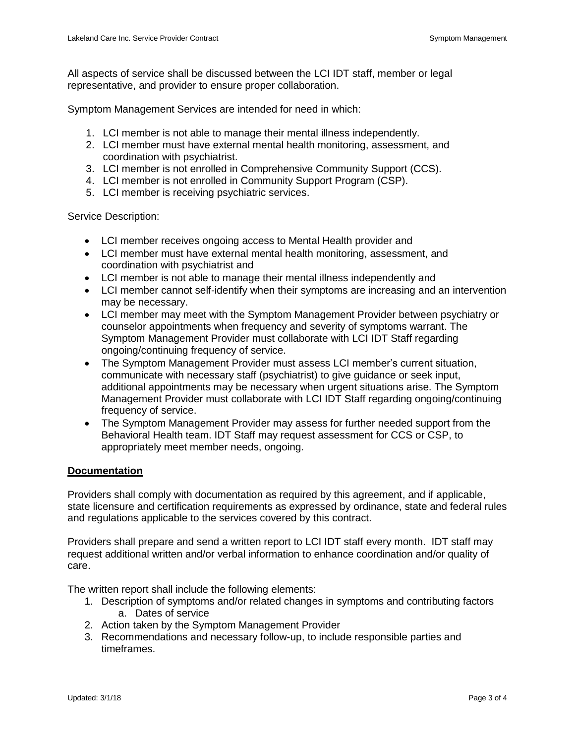All aspects of service shall be discussed between the LCI IDT staff, member or legal representative, and provider to ensure proper collaboration.

Symptom Management Services are intended for need in which:

- 1. LCI member is not able to manage their mental illness independently.
- 2. LCI member must have external mental health monitoring, assessment, and coordination with psychiatrist.
- 3. LCI member is not enrolled in Comprehensive Community Support (CCS).
- 4. LCI member is not enrolled in Community Support Program (CSP).
- 5. LCI member is receiving psychiatric services.

Service Description:

- LCI member receives ongoing access to Mental Health provider and
- LCI member must have external mental health monitoring, assessment, and coordination with psychiatrist and
- LCI member is not able to manage their mental illness independently and
- LCI member cannot self-identify when their symptoms are increasing and an intervention may be necessary.
- LCI member may meet with the Symptom Management Provider between psychiatry or counselor appointments when frequency and severity of symptoms warrant. The Symptom Management Provider must collaborate with LCI IDT Staff regarding ongoing/continuing frequency of service.
- The Symptom Management Provider must assess LCI member's current situation, communicate with necessary staff (psychiatrist) to give guidance or seek input, additional appointments may be necessary when urgent situations arise. The Symptom Management Provider must collaborate with LCI IDT Staff regarding ongoing/continuing frequency of service.
- The Symptom Management Provider may assess for further needed support from the Behavioral Health team. IDT Staff may request assessment for CCS or CSP, to appropriately meet member needs, ongoing.

#### **Documentation**

Providers shall comply with documentation as required by this agreement, and if applicable, state licensure and certification requirements as expressed by ordinance, state and federal rules and regulations applicable to the services covered by this contract.

Providers shall prepare and send a written report to LCI IDT staff every month. IDT staff may request additional written and/or verbal information to enhance coordination and/or quality of care.

The written report shall include the following elements:

- 1. Description of symptoms and/or related changes in symptoms and contributing factors a. Dates of service
- 2. Action taken by the Symptom Management Provider
- 3. Recommendations and necessary follow-up, to include responsible parties and timeframes.